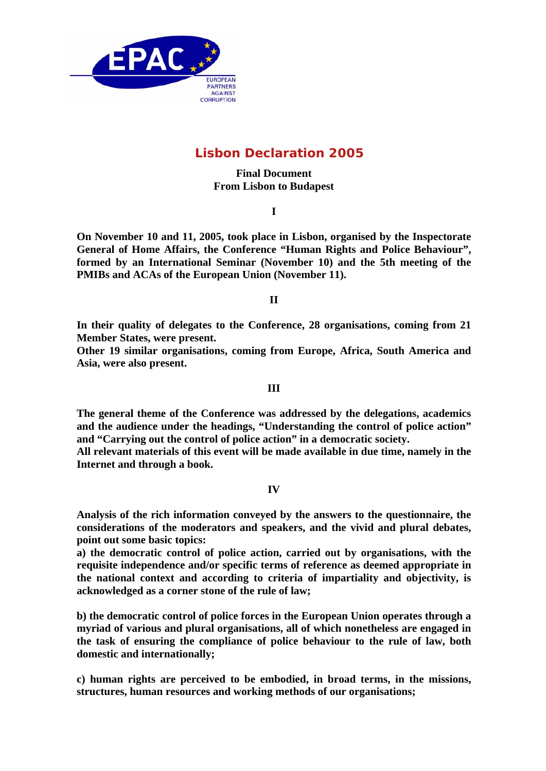

# **Lisbon Declaration 2005**

# **Final Document From Lisbon to Budapest**

**I** 

**On November 10 and 11, 2005, took place in Lisbon, organised by the Inspectorate General of Home Affairs, the Conference "Human Rights and Police Behaviour", formed by an International Seminar (November 10) and the 5th meeting of the PMIBs and ACAs of the European Union (November 11).** 

**II** 

**In their quality of delegates to the Conference, 28 organisations, coming from 21 Member States, were present.** 

**Other 19 similar organisations, coming from Europe, Africa, South America and Asia, were also present.**

#### **III**

**The general theme of the Conference was addressed by the delegations, academics and the audience under the headings, "Understanding the control of police action" and "Carrying out the control of police action" in a democratic society.** 

**All relevant materials of this event will be made available in due time, namely in the Internet and through a book.** 

#### **IV**

**Analysis of the rich information conveyed by the answers to the questionnaire, the considerations of the moderators and speakers, and the vivid and plural debates, point out some basic topics:**

**a) the democratic control of police action, carried out by organisations, with the requisite independence and/or specific terms of reference as deemed appropriate in the national context and according to criteria of impartiality and objectivity, is acknowledged as a corner stone of the rule of law;** 

**b) the democratic control of police forces in the European Union operates through a myriad of various and plural organisations, all of which nonetheless are engaged in the task of ensuring the compliance of police behaviour to the rule of law, both domestic and internationally;** 

**c) human rights are perceived to be embodied, in broad terms, in the missions, structures, human resources and working methods of our organisations;**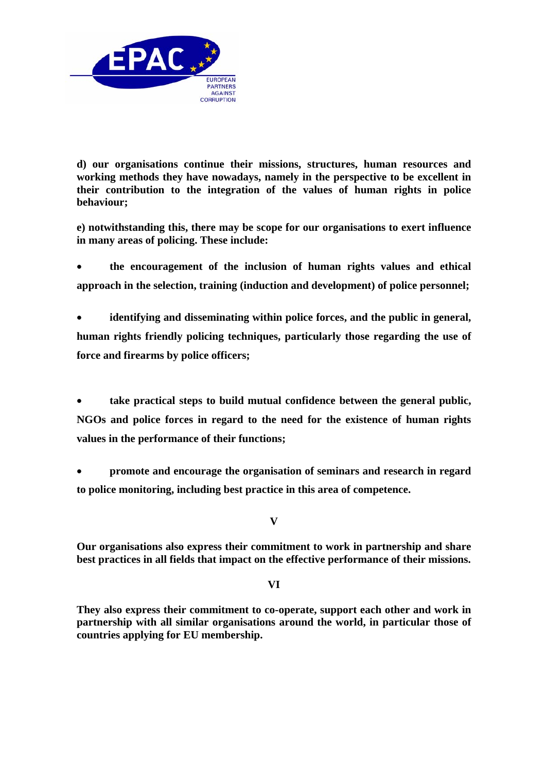

**d) our organisations continue their missions, structures, human resources and working methods they have nowadays, namely in the perspective to be excellent in their contribution to the integration of the values of human rights in police behaviour;**

**e) notwithstanding this, there may be scope for our organisations to exert influence in many areas of policing. These include:** 

• **the encouragement of the inclusion of human rights values and ethical approach in the selection, training (induction and development) of police personnel;** 

• **identifying and disseminating within police forces, and the public in general, human rights friendly policing techniques, particularly those regarding the use of force and firearms by police officers;** 

• **take practical steps to build mutual confidence between the general public, NGOs and police forces in regard to the need for the existence of human rights values in the performance of their functions;** 

• **promote and encourage the organisation of seminars and research in regard to police monitoring, including best practice in this area of competence.** 

**V** 

**Our organisations also express their commitment to work in partnership and share best practices in all fields that impact on the effective performance of their missions.** 

**VI** 

**They also express their commitment to co-operate, support each other and work in partnership with all similar organisations around the world, in particular those of countries applying for EU membership.**